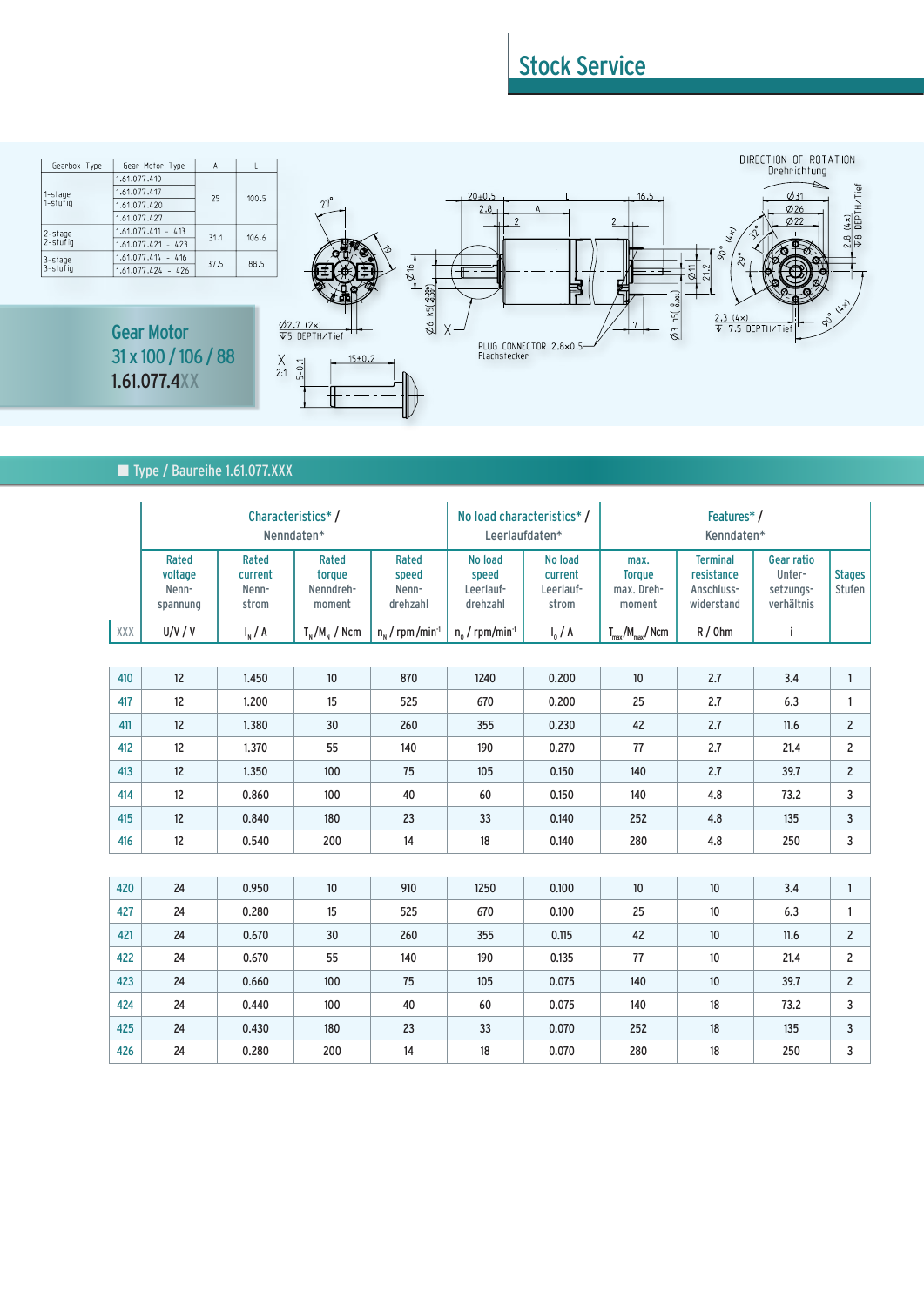## Stock Service



## ■ Type / Baureihe 1.61.077.XXX

|     | Characteristics*/<br>Nenndaten*       |                                    |                                        |                                      | No load characteristics*/<br>Leerlaufdaten* |                                          | Features*/<br>Kenndaten*                      |                                                           |                                                        |                         |
|-----|---------------------------------------|------------------------------------|----------------------------------------|--------------------------------------|---------------------------------------------|------------------------------------------|-----------------------------------------------|-----------------------------------------------------------|--------------------------------------------------------|-------------------------|
|     | Rated<br>voltage<br>Nenn-<br>spannung | Rated<br>current<br>Nenn-<br>strom | Rated<br>torque<br>Nenndreh-<br>moment | Rated<br>speed<br>Nenn-<br>drehzahl  | No load<br>speed<br>Leerlauf-<br>drehzahl   | No load<br>current<br>Leerlauf-<br>strom | max.<br><b>Torque</b><br>max. Dreh-<br>moment | <b>Terminal</b><br>resistance<br>Anschluss-<br>widerstand | <b>Gear ratio</b><br>Unter-<br>setzungs-<br>verhältnis | <b>Stages</b><br>Stufen |
| ХХХ | U/V/V                                 | $I_{N}/A$                          | $T_{N}/M_{N}$ / Ncm                    | $n_{\rm M}$ / rpm /min <sup>-1</sup> | $n_0$ / rpm/min <sup>-1</sup>               | $I_0 / A$                                | $T_{\text{max}}/M_{\text{max}}/N$ cm          | $R/0$ hm                                                  | Ť                                                      |                         |
|     |                                       |                                    |                                        |                                      |                                             |                                          |                                               |                                                           |                                                        |                         |
| 410 | 12                                    | 1.450                              | 10                                     | 870                                  | 1240                                        | 0.200                                    | 10                                            | 2.7                                                       | 3.4                                                    | $\mathbf{1}$            |
| 417 | 12                                    | 1.200                              | 15                                     | 525                                  | 670                                         | 0.200                                    | 25                                            | 2.7                                                       | 6.3                                                    | 1                       |
| 411 | 12                                    | 1.380                              | 30                                     | 260                                  | 355                                         | 0.230                                    | 42                                            | 2.7                                                       | 11.6                                                   |                         |
| 412 | 12                                    | 1.370                              | 55                                     | 140                                  | 190                                         | 0.270                                    | 77                                            | 2.7                                                       | 21.4                                                   | 2                       |
| 413 | 12                                    | 1.350                              | 100                                    | 75                                   | 105                                         | 0.150                                    | 140                                           | 2.7                                                       | 39.7                                                   | $\overline{c}$          |
| 414 | 12                                    | 0.860                              | 100                                    | 40                                   | 60                                          | 0.150                                    | 140                                           | 4.8                                                       | 73.2                                                   | 3                       |
| 415 | 12                                    | 0.840                              | 180                                    | 23                                   | 33                                          | 0.140                                    | 252                                           | 4.8                                                       | 135                                                    | 3                       |
| 416 | 12                                    | 0.540                              | 200                                    | 14                                   | 18                                          | 0.140                                    | 280                                           | 4.8                                                       | 250                                                    | 3                       |
|     |                                       |                                    |                                        |                                      |                                             |                                          |                                               |                                                           |                                                        |                         |
| 420 | 24                                    | 0.950                              | 10                                     | 910                                  | 1250                                        | 0.100                                    | $10\,$                                        | $10\,$                                                    | 3.4                                                    | $\mathbf{1}$            |
| 427 | 24                                    | 0.280                              | 15                                     | 525                                  | 670                                         | 0.100                                    | 25                                            | 10                                                        | 6.3                                                    | 1                       |
| 421 | 24                                    | 0.670                              | 30                                     | 260                                  | 355                                         | 0.115                                    | 42                                            | 10                                                        | 11.6                                                   | $\overline{c}$          |
| 422 | 24                                    | 0.670                              | 55                                     | 140                                  | 190                                         | 0.135                                    | 77                                            | 10                                                        | 21.4                                                   | $\overline{c}$          |
| 423 | 24                                    | 0.660                              | 100                                    | 75                                   | 105                                         | 0.075                                    | 140                                           | 10                                                        | 39.7                                                   | $\overline{c}$          |
| 424 | 24                                    | 0.440                              | 100                                    | 40                                   | 60                                          | 0.075                                    | 140                                           | 18                                                        | 73.2                                                   | 3                       |
| 425 | 24                                    | 0.430                              | 180                                    | 23                                   | 33                                          | 0.070                                    | 252                                           | 18                                                        | 135                                                    | 3                       |
| 426 | 24                                    | 0.280                              | 200                                    | 14                                   | 18                                          | 0.070                                    | 280                                           | 18                                                        | 250                                                    | 3                       |